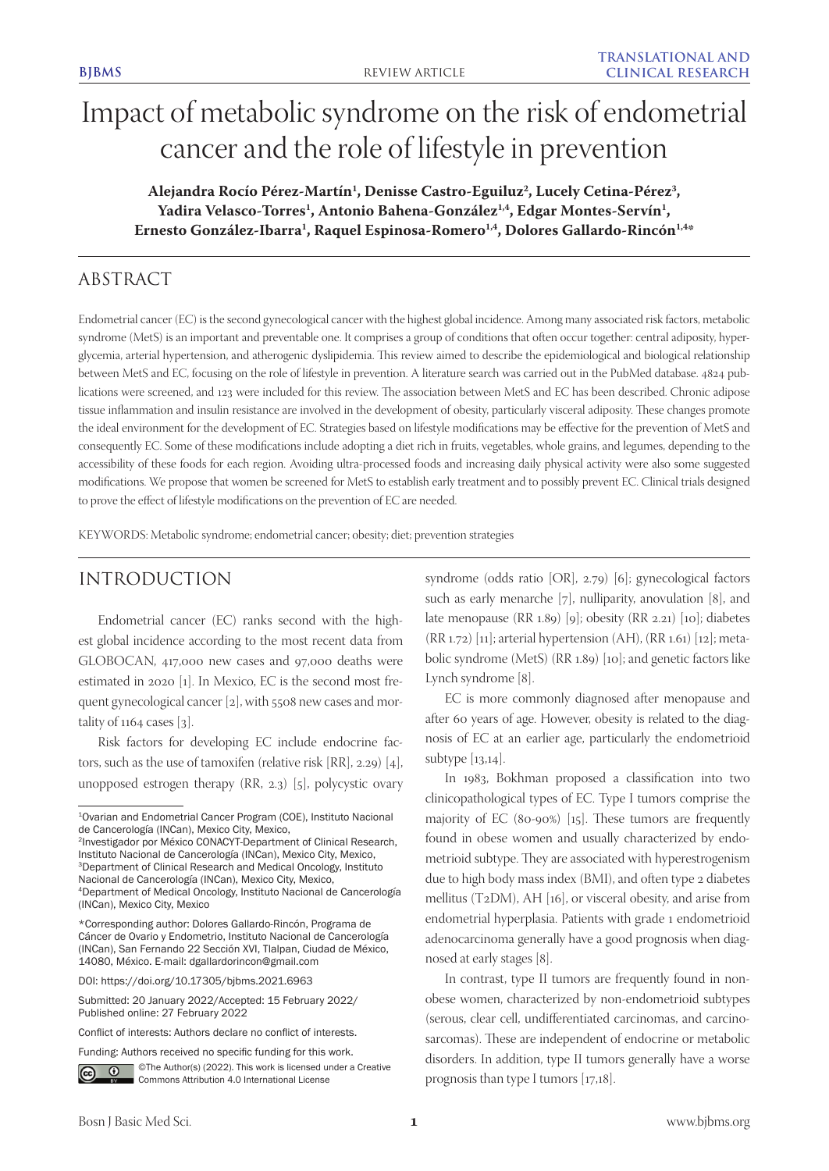# Impact of metabolic syndrome on the risk of endometrial cancer and the role of lifestyle in prevention

Alejandra Rocío Pérez-Martín<sup>1</sup>, Denisse Castro-Eguiluz<sup>2</sup>, Lucely Cetina-Pérez<sup>3</sup>, Yadira Velasco-Torres<sup>1</sup>, Antonio Bahena-González<sup>1,4</sup>, Edgar Montes-Servín<sup>1</sup>, **Ernesto González-Ibarra1 , Raquel Espinosa-Romero1,4, Dolores Gallardo-Rincón1,4\***

# ABSTRACT

Endometrial cancer (EC) is the second gynecological cancer with the highest global incidence. Among many associated risk factors, metabolic syndrome (MetS) is an important and preventable one. It comprises a group of conditions that often occur together: central adiposity, hyperglycemia, arterial hypertension, and atherogenic dyslipidemia. This review aimed to describe the epidemiological and biological relationship between MetS and EC, focusing on the role of lifestyle in prevention. A literature search was carried out in the PubMed database. 4824 publications were screened, and 123 were included for this review. The association between MetS and EC has been described. Chronic adipose tissue inflammation and insulin resistance are involved in the development of obesity, particularly visceral adiposity. These changes promote the ideal environment for the development of EC. Strategies based on lifestyle modifications may be effective for the prevention of MetS and consequently EC. Some of these modifications include adopting a diet rich in fruits, vegetables, whole grains, and legumes, depending to the accessibility of these foods for each region. Avoiding ultra-processed foods and increasing daily physical activity were also some suggested modifications. We propose that women be screened for MetS to establish early treatment and to possibly prevent EC. Clinical trials designed to prove the effect of lifestyle modifications on the prevention of EC are needed.

KEYWORDS: Metabolic syndrome; endometrial cancer; obesity; diet; prevention strategies

# INTRODUCTION

Endometrial cancer (EC) ranks second with the highest global incidence according to the most recent data from GLOBOCAN, 417,000 new cases and 97,000 deaths were estimated in 2020 [1]. In Mexico, EC is the second most frequent gynecological cancer [2], with 5508 new cases and mortality of  $1164$  cases [3].

Risk factors for developing EC include endocrine factors, such as the use of tamoxifen (relative risk [RR], 2.29) [4], unopposed estrogen therapy (RR, 2.3) [5], polycystic ovary

2Investigador por México CONACYT-Department of Clinical Research, Instituto Nacional de Cancerología (INCan), Mexico City, Mexico, <sup>3</sup>Department of Clinical Research and Medical Oncology, Instituto Nacional de Cancerología (INCan), Mexico City, Mexico, 4Department of Medical Oncology, Instituto Nacional de Cancerología (INCan), Mexico City, Mexico

Submitted: 20 January 2022/Accepted: 15 February 2022/ Published online: 27 February 2022

©The Author(s) (2022). This work is licensed under a Creative  $\odot$ Commons Attribution 4.0 International License

syndrome (odds ratio [OR], 2.79) [6]; gynecological factors such as early menarche [7], nulliparity, anovulation [8], and late menopause (RR 1.89) [9]; obesity (RR 2.21) [10]; diabetes  $(RR 1.72)$  [11]; arterial hypertension  $(AH)$ ,  $(RR 1.61)$  [12]; metabolic syndrome (MetS) (RR 1.89) [10]; and genetic factors like Lynch syndrome [8].

EC is more commonly diagnosed after menopause and after 60 years of age. However, obesity is related to the diagnosis of EC at an earlier age, particularly the endometrioid subtype [13,14].

In 1983, Bokhman proposed a classification into two clinicopathological types of EC. Type I tumors comprise the majority of EC (80-90%) [15]. These tumors are frequently found in obese women and usually characterized by endometrioid subtype. They are associated with hyperestrogenism due to high body mass index (BMI), and often type 2 diabetes mellitus (T2DM), AH [16], or visceral obesity, and arise from endometrial hyperplasia. Patients with grade 1 endometrioid adenocarcinoma generally have a good prognosis when diagnosed at early stages [8].

In contrast, type II tumors are frequently found in nonobese women, characterized by non-endometrioid subtypes (serous, clear cell, undifferentiated carcinomas, and carcinosarcomas). These are independent of endocrine or metabolic disorders. In addition, type II tumors generally have a worse prognosis than type I tumors [17,18].

<sup>1</sup>Ovarian and Endometrial Cancer Program (COE), Instituto Nacional de Cancerología (INCan), Mexico City, Mexico,

<sup>\*</sup>Corresponding author: Dolores Gallardo-Rincón, Programa de Cáncer de Ovario y Endometrio, Instituto Nacional de Cancerología (INCan), San Fernando 22 Sección XVI, Tlalpan, Ciudad de México, 14080, México. E-mail: dgallardorincon@gmail.com

DOI: https://doi.org/10.17305/bjbms.2021.6963

Conflict of interests: Authors declare no conflict of interests.

Funding: Authors received no specific funding for this work.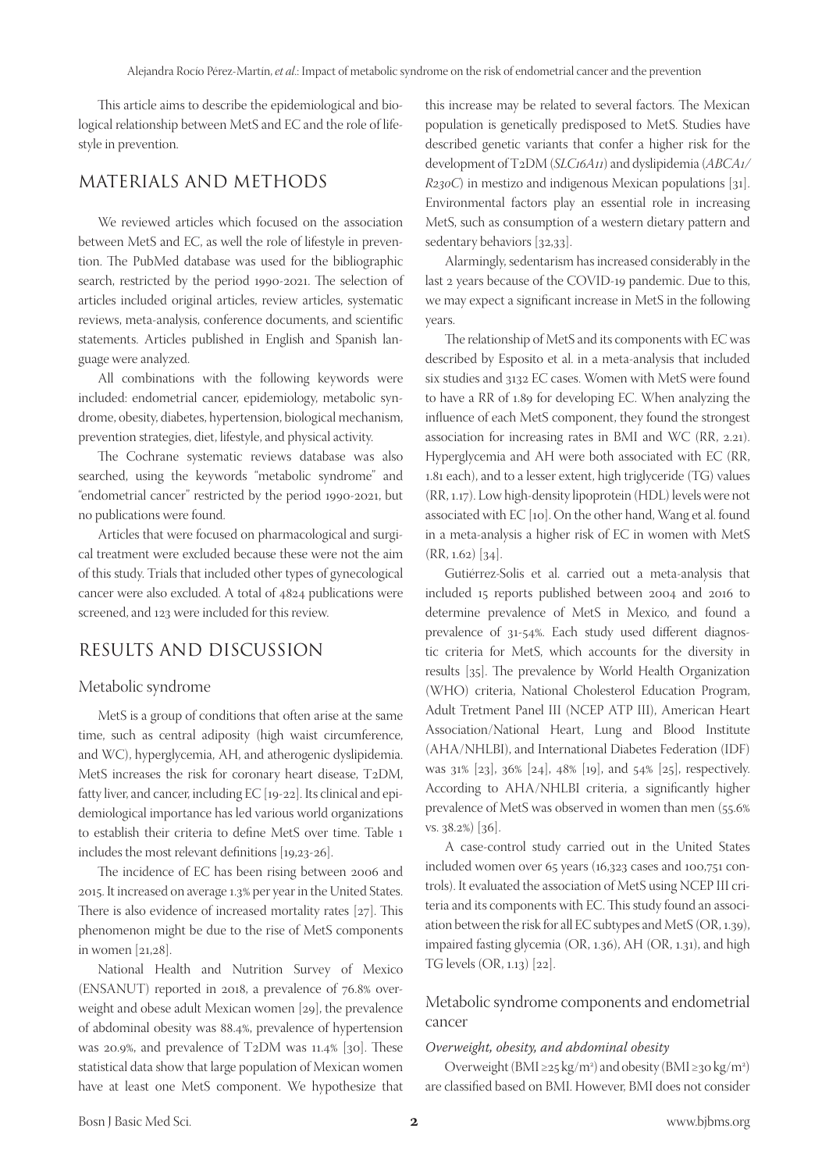This article aims to describe the epidemiological and biological relationship between MetS and EC and the role of lifestyle in prevention.

## MATERIALS AND METHODS

We reviewed articles which focused on the association between MetS and EC, as well the role of lifestyle in prevention. The PubMed database was used for the bibliographic search, restricted by the period 1990-2021. The selection of articles included original articles, review articles, systematic reviews, meta-analysis, conference documents, and scientific statements. Articles published in English and Spanish language were analyzed.

All combinations with the following keywords were included: endometrial cancer, epidemiology, metabolic syndrome, obesity, diabetes, hypertension, biological mechanism, prevention strategies, diet, lifestyle, and physical activity.

The Cochrane systematic reviews database was also searched, using the keywords "metabolic syndrome" and "endometrial cancer" restricted by the period 1990-2021, but no publications were found.

Articles that were focused on pharmacological and surgical treatment were excluded because these were not the aim of this study. Trials that included other types of gynecological cancer were also excluded. A total of 4824 publications were screened, and 123 were included for this review.

# RESULTS AND DISCUSSION

#### Metabolic syndrome

MetS is a group of conditions that often arise at the same time, such as central adiposity (high waist circumference, and WC), hyperglycemia, AH, and atherogenic dyslipidemia. MetS increases the risk for coronary heart disease, T2DM, fatty liver, and cancer, including EC [19-22]. Its clinical and epidemiological importance has led various world organizations to establish their criteria to define MetS over time. Table 1 includes the most relevant definitions [19,23-26].

The incidence of EC has been rising between 2006 and 2015. It increased on average 1.3% per year in the United States. There is also evidence of increased mortality rates [27]. This phenomenon might be due to the rise of MetS components in women [21,28].

National Health and Nutrition Survey of Mexico (ENSANUT) reported in 2018, a prevalence of 76.8% overweight and obese adult Mexican women [29], the prevalence of abdominal obesity was 88.4%, prevalence of hypertension was 20.9%, and prevalence of T2DM was 11.4% [30]. These statistical data show that large population of Mexican women have at least one MetS component. We hypothesize that

this increase may be related to several factors. The Mexican population is genetically predisposed to MetS. Studies have described genetic variants that confer a higher risk for the development of T2DM (*SLC16A11*) and dyslipidemia (*ABCA1/ R230C*) in mestizo and indigenous Mexican populations [31]. Environmental factors play an essential role in increasing MetS, such as consumption of a western dietary pattern and sedentary behaviors [32,33].

Alarmingly, sedentarism has increased considerably in the last 2 years because of the COVID-19 pandemic. Due to this, we may expect a significant increase in MetS in the following years.

The relationship of MetS and its components with EC was described by Esposito et al. in a meta-analysis that included six studies and 3132 EC cases. Women with MetS were found to have a RR of 1.89 for developing EC. When analyzing the influence of each MetS component, they found the strongest association for increasing rates in BMI and WC (RR, 2.21). Hyperglycemia and AH were both associated with EC (RR, 1.81 each), and to a lesser extent, high triglyceride (TG) values (RR, 1.17). Low high-density lipoprotein (HDL) levels were not associated with EC [10]. On the other hand, Wang et al. found in a meta-analysis a higher risk of EC in women with MetS  $(RR, 1.62)$  [34].

Gutiérrez-Solis et al. carried out a meta-analysis that included 15 reports published between 2004 and 2016 to determine prevalence of MetS in Mexico, and found a prevalence of 31-54%. Each study used different diagnostic criteria for MetS, which accounts for the diversity in results [35]. The prevalence by World Health Organization (WHO) criteria, National Cholesterol Education Program, Adult Tretment Panel III (NCEP ATP III), American Heart Association/National Heart, Lung and Blood Institute (AHA/NHLBI), and International Diabetes Federation (IDF) was 31% [23], 36% [24], 48% [19], and 54% [25], respectively. According to AHA/NHLBI criteria, a significantly higher prevalence of MetS was observed in women than men (55.6% vs. 38.2%) [36].

A case-control study carried out in the United States included women over 65 years (16,323 cases and 100,751 controls). It evaluated the association of MetS using NCEP III criteria and its components with EC. This study found an association between the risk for all EC subtypes and MetS (OR, 1.39), impaired fasting glycemia (OR, 1.36), AH (OR, 1.31), and high TG levels (OR, 1.13) [22].

## Metabolic syndrome components and endometrial cancer

#### *Overweight, obesity, and abdominal obesity*

Overweight ( $BMI \geq 25 \text{ kg/m}^2$ ) and obesity ( $BMI \geq 30 \text{ kg/m}^2$ ) are classified based on BMI. However, BMI does not consider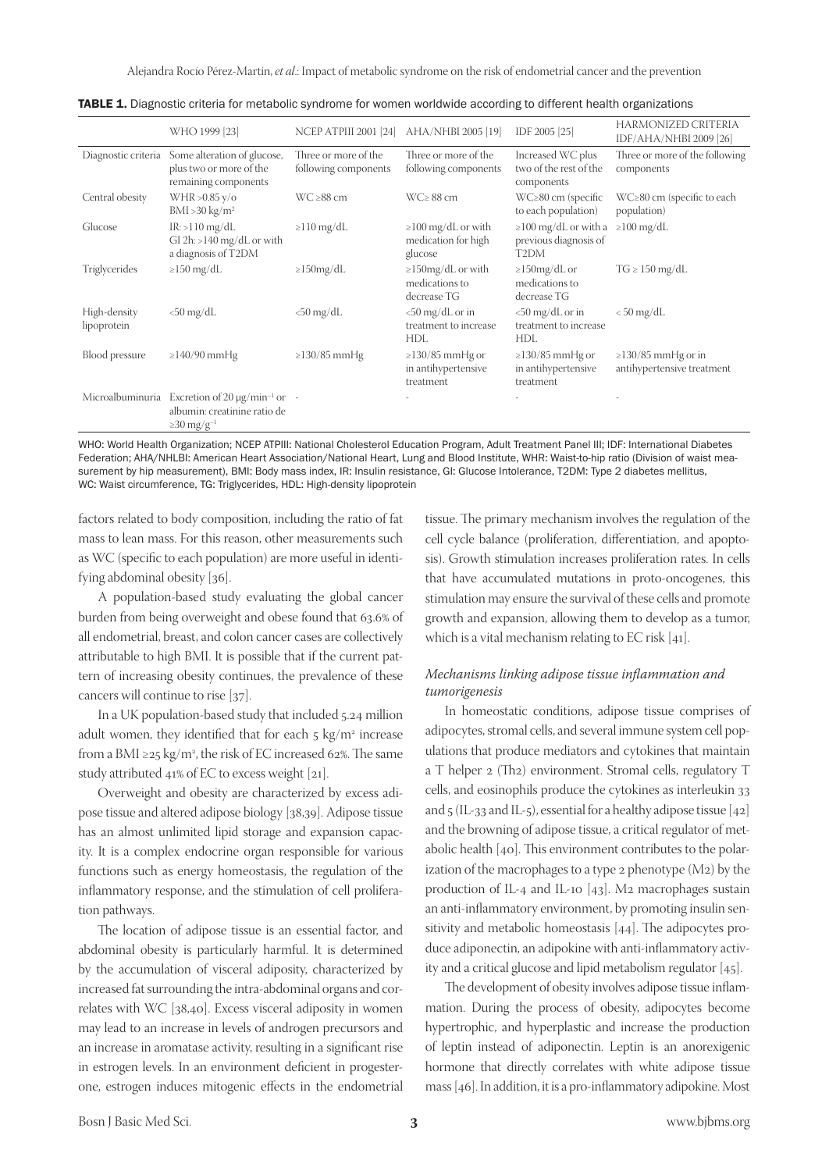Alejandra Rocío Pérez-Martín, *et al*.: Impact of metabolic syndrome on the risk of endometrial cancer and the prevention

|                             | WHO 1999 [23]                                                                                                                   | <b>NCEP ATPIII 2001 [24]</b>                 | AHA/NHBI 2005 [19]                                         | IDF 2005 [25]                                                            | HARMONIZED CRITERIA<br>IDF/AHA/NHBI 2009 [26]          |
|-----------------------------|---------------------------------------------------------------------------------------------------------------------------------|----------------------------------------------|------------------------------------------------------------|--------------------------------------------------------------------------|--------------------------------------------------------|
| Diagnostic criteria         | Some alteration of glucose,<br>plus two or more of the<br>remaining components                                                  | Three or more of the<br>following components | Three or more of the<br>following components               | Increased WC plus<br>two of the rest of the<br>components                | Three or more of the following<br>components           |
| Central obesity             | WHR > $0.85$ y/o<br>BMI > 30 kg/m <sup>2</sup>                                                                                  | $WC \ge 88$ cm                               | $WC \ge 88$ cm                                             | $WC \ge 80$ cm (specific<br>to each population)                          | $WC \ge 80$ cm (specific to each<br>population)        |
| Glucose                     | $IR: >110$ mg/dL<br>GI $2h$ : >140 mg/dL or with<br>a diagnosis of T2DM                                                         | $\geq$ 110 mg/dL                             | $\geq$ 100 mg/dL or with<br>medication for high<br>glucose | $\geq$ 100 mg/dL or with a<br>previous diagnosis of<br>T <sub>2</sub> DM | $\geq$ 100 mg/dL                                       |
| Triglycerides               | $\geq$ 150 mg/dL                                                                                                                | $\geq$ 150mg/dL                              | $\geq$ 150mg/dL or with<br>medications to<br>decrease TG   | $\geq$ 150mg/dL or<br>medications to<br>decrease TG                      | $TG \geq 150 \text{ mg/dL}$                            |
| High-density<br>lipoprotein | $<$ 50 mg/dL                                                                                                                    | $<$ 50 mg/dL                                 | $<$ 50 mg/dL or in<br>treatment to increase<br><b>HDL</b>  | $<$ 50 mg/dL or in<br>treatment to increase<br><b>HDL</b>                | $< 50$ mg/dL                                           |
| Blood pressure              | $\geq$ 140/90 mmHg                                                                                                              | $\geq$ 130/85 mmHg                           | $\geq$ 130/85 mmHg or<br>in antihypertensive<br>treatment  | $\geq$ 130/85 mmHg or<br>in antihypertensive<br>treatment                | $\geq$ 130/85 mmHg or in<br>antihypertensive treatment |
|                             | Microalbuminuria Excretion of 20 $\mu$ g/min <sup>-1</sup> or -<br>albumin: creatinine ratio de<br>$\geq$ 30 mg/g <sup>-1</sup> |                                              |                                                            |                                                                          |                                                        |

TABLE 1. Diagnostic criteria for metabolic syndrome for women worldwide according to different health organizations

WHO: World Health Organization; NCEP ATPIII: National Cholesterol Education Program, Adult Treatment Panel III; IDF: International Diabetes Federation; AHA/NHLBI: American Heart Association/National Heart, Lung and Blood Institute, WHR: Waist-to-hip ratio (Division of waist measurement by hip measurement), BMI: Body mass index, IR: Insulin resistance, GI: Glucose Intolerance, T2DM: Type 2 diabetes mellitus, WC: Waist circumference, TG: Triglycerides, HDL: High-density lipoprotein

factors related to body composition, including the ratio of fat mass to lean mass. For this reason, other measurements such as WC (specific to each population) are more useful in identifying abdominal obesity [36].

A population-based study evaluating the global cancer burden from being overweight and obese found that 63.6% of all endometrial, breast, and colon cancer cases are collectively attributable to high BMI. It is possible that if the current pattern of increasing obesity continues, the prevalence of these cancers will continue to rise [37].

In a UK population-based study that included 5.24 million adult women, they identified that for each 5 kg/m<sup>2</sup> increase from a BMI ≥25 kg/m2 , the risk of EC increased 62%. The same study attributed 41% of EC to excess weight [21].

Overweight and obesity are characterized by excess adipose tissue and altered adipose biology [38,39]. Adipose tissue has an almost unlimited lipid storage and expansion capacity. It is a complex endocrine organ responsible for various functions such as energy homeostasis, the regulation of the inflammatory response, and the stimulation of cell proliferation pathways.

The location of adipose tissue is an essential factor, and abdominal obesity is particularly harmful. It is determined by the accumulation of visceral adiposity, characterized by increased fat surrounding the intra-abdominal organs and correlates with WC [38,40]. Excess visceral adiposity in women may lead to an increase in levels of androgen precursors and an increase in aromatase activity, resulting in a significant rise in estrogen levels. In an environment deficient in progesterone, estrogen induces mitogenic effects in the endometrial

tissue. The primary mechanism involves the regulation of the cell cycle balance (proliferation, differentiation, and apoptosis). Growth stimulation increases proliferation rates. In cells that have accumulated mutations in proto-oncogenes, this stimulation may ensure the survival of these cells and promote growth and expansion, allowing them to develop as a tumor, which is a vital mechanism relating to EC risk [41].

#### *Mechanisms linking adipose tissue inflammation and tumorigenesis*

In homeostatic conditions, adipose tissue comprises of adipocytes, stromal cells, and several immune system cell populations that produce mediators and cytokines that maintain a T helper 2 (Th2) environment. Stromal cells, regulatory T cells, and eosinophils produce the cytokines as interleukin 33 and  $5$  (IL-33 and IL-5), essential for a healthy adipose tissue [42] and the browning of adipose tissue, a critical regulator of metabolic health [40]. This environment contributes to the polarization of the macrophages to a type 2 phenotype (M2) by the production of IL-4 and IL-10 [43]. M2 macrophages sustain an anti-inflammatory environment, by promoting insulin sensitivity and metabolic homeostasis [44]. The adipocytes produce adiponectin, an adipokine with anti-inflammatory activity and a critical glucose and lipid metabolism regulator [45].

The development of obesity involves adipose tissue inflammation. During the process of obesity, adipocytes become hypertrophic, and hyperplastic and increase the production of leptin instead of adiponectin. Leptin is an anorexigenic hormone that directly correlates with white adipose tissue mass [46]. In addition, it is a pro-inflammatory adipokine. Most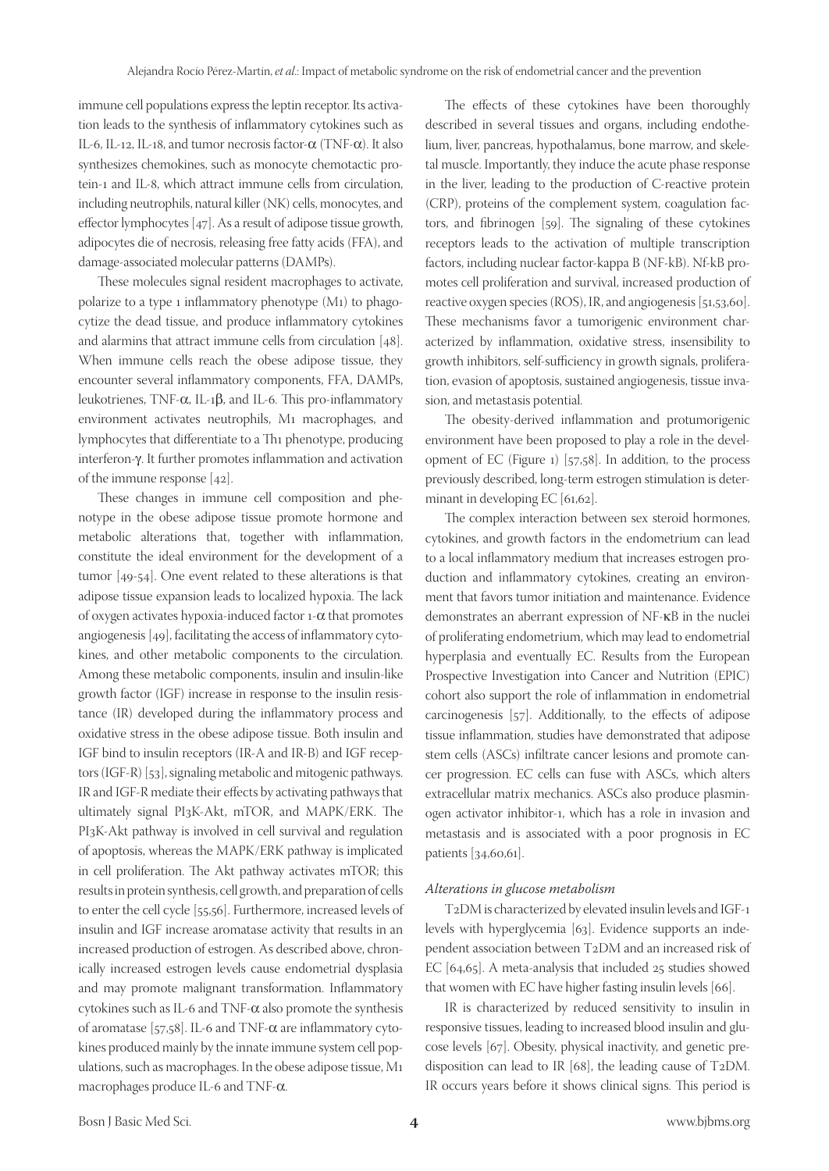immune cell populations express the leptin receptor. Its activation leads to the synthesis of inflammatory cytokines such as IL-6, IL-12, IL-18, and tumor necrosis factor-α (TNF-α). It also synthesizes chemokines, such as monocyte chemotactic protein-1 and IL-8, which attract immune cells from circulation, including neutrophils, natural killer (NK) cells, monocytes, and effector lymphocytes [47]. As a result of adipose tissue growth, adipocytes die of necrosis, releasing free fatty acids (FFA), and damage-associated molecular patterns (DAMPs).

These molecules signal resident macrophages to activate, polarize to a type 1 inflammatory phenotype (M1) to phagocytize the dead tissue, and produce inflammatory cytokines and alarmins that attract immune cells from circulation [48]. When immune cells reach the obese adipose tissue, they encounter several inflammatory components, FFA, DAMPs, leukotrienes, TNF-α, IL-1β, and IL-6. This pro-inflammatory environment activates neutrophils, M1 macrophages, and lymphocytes that differentiate to a Th1 phenotype, producing interferon-γ. It further promotes inflammation and activation of the immune response [42].

These changes in immune cell composition and phenotype in the obese adipose tissue promote hormone and metabolic alterations that, together with inflammation, constitute the ideal environment for the development of a tumor [49-54]. One event related to these alterations is that adipose tissue expansion leads to localized hypoxia. The lack of oxygen activates hypoxia-induced factor  $1-\alpha$  that promotes angiogenesis [49], facilitating the access of inflammatory cytokines, and other metabolic components to the circulation. Among these metabolic components, insulin and insulin-like growth factor (IGF) increase in response to the insulin resistance (IR) developed during the inflammatory process and oxidative stress in the obese adipose tissue. Both insulin and IGF bind to insulin receptors (IR-A and IR-B) and IGF receptors (IGF-R) [53], signaling metabolic and mitogenic pathways. IR and IGF-R mediate their effects by activating pathways that ultimately signal PI3K-Akt, mTOR, and MAPK/ERK. The PI3K-Akt pathway is involved in cell survival and regulation of apoptosis, whereas the MAPK/ERK pathway is implicated in cell proliferation. The Akt pathway activates mTOR; this results in protein synthesis, cell growth, and preparation of cells to enter the cell cycle [55,56]. Furthermore, increased levels of insulin and IGF increase aromatase activity that results in an increased production of estrogen. As described above, chronically increased estrogen levels cause endometrial dysplasia and may promote malignant transformation. Inflammatory cytokines such as IL-6 and TNF-α also promote the synthesis of aromatase [57,58]. IL-6 and TNF- $\alpha$  are inflammatory cytokines produced mainly by the innate immune system cell populations, such as macrophages. In the obese adipose tissue, M1 macrophages produce IL-6 and TNF-α.

The effects of these cytokines have been thoroughly described in several tissues and organs, including endothelium, liver, pancreas, hypothalamus, bone marrow, and skeletal muscle. Importantly, they induce the acute phase response in the liver, leading to the production of C-reactive protein (CRP), proteins of the complement system, coagulation factors, and fibrinogen [59]. The signaling of these cytokines receptors leads to the activation of multiple transcription factors, including nuclear factor-kappa B (NF-kB). Nf-kB promotes cell proliferation and survival, increased production of reactive oxygen species (ROS), IR, and angiogenesis [51,53,60]. These mechanisms favor a tumorigenic environment characterized by inflammation, oxidative stress, insensibility to growth inhibitors, self-sufficiency in growth signals, proliferation, evasion of apoptosis, sustained angiogenesis, tissue invasion, and metastasis potential.

The obesity-derived inflammation and protumorigenic environment have been proposed to play a role in the development of EC (Figure  $_1$ ) [57,58]. In addition, to the process previously described, long-term estrogen stimulation is determinant in developing EC [61,62].

The complex interaction between sex steroid hormones, cytokines, and growth factors in the endometrium can lead to a local inflammatory medium that increases estrogen production and inflammatory cytokines, creating an environment that favors tumor initiation and maintenance. Evidence demonstrates an aberrant expression of NF-κB in the nuclei of proliferating endometrium, which may lead to endometrial hyperplasia and eventually EC. Results from the European Prospective Investigation into Cancer and Nutrition (EPIC) cohort also support the role of inflammation in endometrial carcinogenesis [57]. Additionally, to the effects of adipose tissue inflammation, studies have demonstrated that adipose stem cells (ASCs) infiltrate cancer lesions and promote cancer progression. EC cells can fuse with ASCs, which alters extracellular matrix mechanics. ASCs also produce plasminogen activator inhibitor-1, which has a role in invasion and metastasis and is associated with a poor prognosis in EC patients [34,60,61].

#### *Alterations in glucose metabolism*

T2DM is characterized by elevated insulin levels and IGF-1 levels with hyperglycemia [63]. Evidence supports an independent association between T2DM and an increased risk of EC [64,65]. A meta-analysis that included 25 studies showed that women with EC have higher fasting insulin levels [66].

IR is characterized by reduced sensitivity to insulin in responsive tissues, leading to increased blood insulin and glucose levels [67]. Obesity, physical inactivity, and genetic predisposition can lead to IR [68], the leading cause of T2DM. IR occurs years before it shows clinical signs. This period is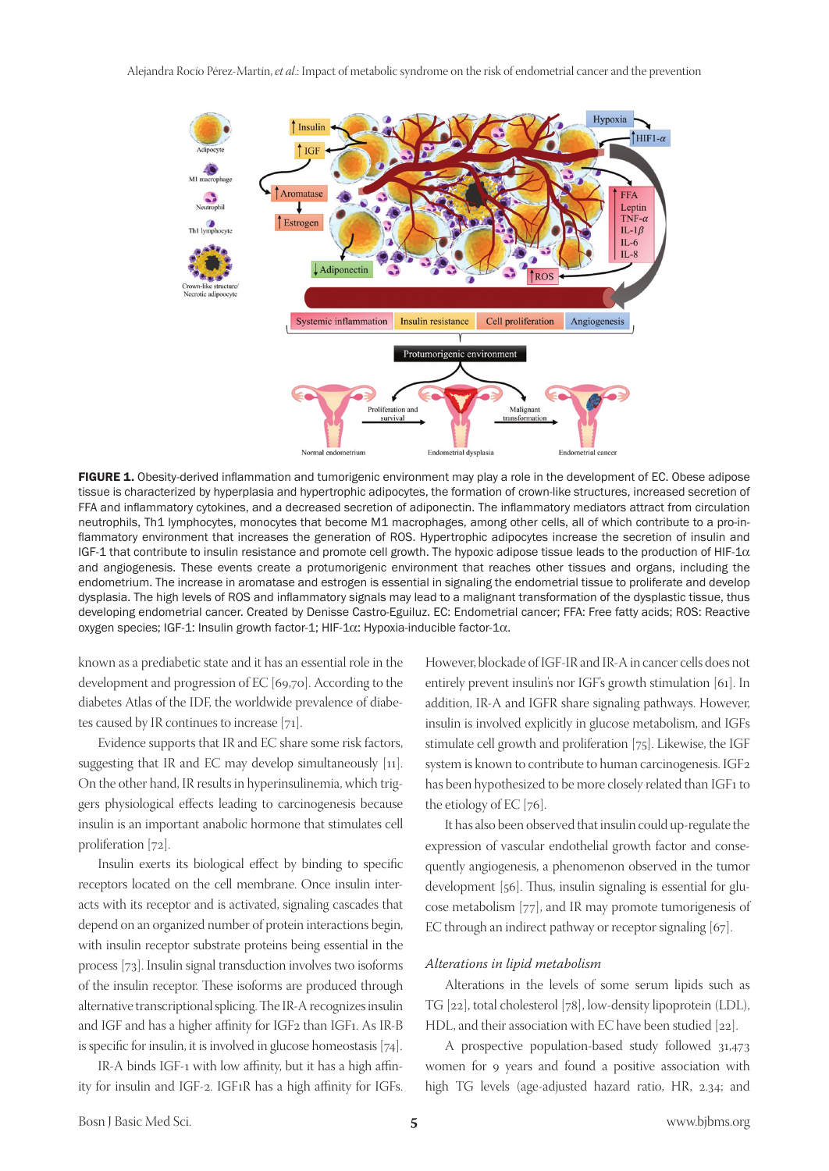

FIGURE 1. Obesity-derived inflammation and tumorigenic environment may play a role in the development of EC. Obese adipose tissue is characterized by hyperplasia and hypertrophic adipocytes, the formation of crown-like structures, increased secretion of FFA and inflammatory cytokines, and a decreased secretion of adiponectin. The inflammatory mediators attract from circulation neutrophils, Th1 lymphocytes, monocytes that become M1 macrophages, among other cells, all of which contribute to a pro-inflammatory environment that increases the generation of ROS. Hypertrophic adipocytes increase the secretion of insulin and IGF-1 that contribute to insulin resistance and promote cell growth. The hypoxic adipose tissue leads to the production of HIF-1 $\alpha$ and angiogenesis. These events create a protumorigenic environment that reaches other tissues and organs, including the endometrium. The increase in aromatase and estrogen is essential in signaling the endometrial tissue to proliferate and develop dysplasia. The high levels of ROS and inflammatory signals may lead to a malignant transformation of the dysplastic tissue, thus developing endometrial cancer. Created by Denisse Castro-Eguiluz. EC: Endometrial cancer; FFA: Free fatty acids; ROS: Reactive oxygen species; IGF-1: Insulin growth factor-1; HIF-1α: Hypoxia-inducible factor-1α.

known as a prediabetic state and it has an essential role in the development and progression of EC [69,70]. According to the diabetes Atlas of the IDF, the worldwide prevalence of diabetes caused by IR continues to increase [71].

Evidence supports that IR and EC share some risk factors, suggesting that IR and EC may develop simultaneously [11]. On the other hand, IR results in hyperinsulinemia, which triggers physiological effects leading to carcinogenesis because insulin is an important anabolic hormone that stimulates cell proliferation [72].

Insulin exerts its biological effect by binding to specific receptors located on the cell membrane. Once insulin interacts with its receptor and is activated, signaling cascades that depend on an organized number of protein interactions begin, with insulin receptor substrate proteins being essential in the process [73]. Insulin signal transduction involves two isoforms of the insulin receptor. These isoforms are produced through alternative transcriptional splicing. The IR-A recognizes insulin and IGF and has a higher affinity for IGF2 than IGF1. As IR-B is specific for insulin, it is involved in glucose homeostasis [74].

IR-A binds IGF-1 with low affinity, but it has a high affinity for insulin and IGF-2. IGF1R has a high affinity for IGFs. However, blockade of IGF-IR and IR-A in cancer cells does not entirely prevent insulin's nor IGF's growth stimulation [61]. In addition, IR-A and IGFR share signaling pathways. However, insulin is involved explicitly in glucose metabolism, and IGFs stimulate cell growth and proliferation [75]. Likewise, the IGF system is known to contribute to human carcinogenesis. IGF2 has been hypothesized to be more closely related than IGF1 to the etiology of EC [76].

It has also been observed that insulin could up-regulate the expression of vascular endothelial growth factor and consequently angiogenesis, a phenomenon observed in the tumor development [56]. Thus, insulin signaling is essential for glucose metabolism [77], and IR may promote tumorigenesis of EC through an indirect pathway or receptor signaling [67].

#### *Alterations in lipid metabolism*

Alterations in the levels of some serum lipids such as TG [22], total cholesterol [78], low-density lipoprotein (LDL), HDL, and their association with EC have been studied [22].

A prospective population-based study followed 31,473 women for 9 years and found a positive association with high TG levels (age-adjusted hazard ratio, HR, 2.34; and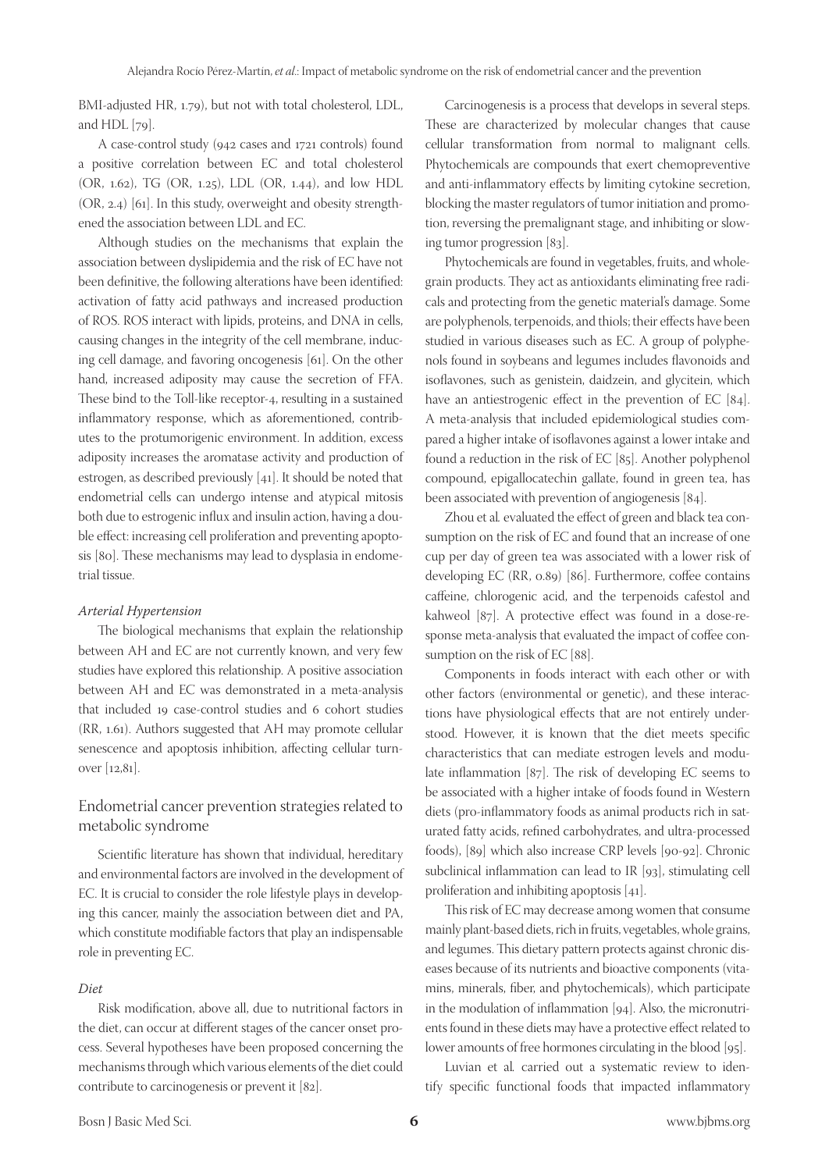BMI-adjusted HR, 1.79), but not with total cholesterol, LDL, and HDL [79].

A case-control study (942 cases and 1721 controls) found a positive correlation between EC and total cholesterol (OR, 1.62), TG (OR, 1.25), LDL (OR, 1.44), and low HDL (OR, 2.4) [61]. In this study, overweight and obesity strengthened the association between LDL and EC.

Although studies on the mechanisms that explain the association between dyslipidemia and the risk of EC have not been definitive, the following alterations have been identified: activation of fatty acid pathways and increased production of ROS. ROS interact with lipids, proteins, and DNA in cells, causing changes in the integrity of the cell membrane, inducing cell damage, and favoring oncogenesis [61]. On the other hand, increased adiposity may cause the secretion of FFA. These bind to the Toll-like receptor-4, resulting in a sustained inflammatory response, which as aforementioned, contributes to the protumorigenic environment. In addition, excess adiposity increases the aromatase activity and production of estrogen, as described previously [41]. It should be noted that endometrial cells can undergo intense and atypical mitosis both due to estrogenic influx and insulin action, having a double effect: increasing cell proliferation and preventing apoptosis [80]. These mechanisms may lead to dysplasia in endometrial tissue.

#### *Arterial Hypertension*

The biological mechanisms that explain the relationship between AH and EC are not currently known, and very few studies have explored this relationship. A positive association between AH and EC was demonstrated in a meta-analysis that included 19 case-control studies and 6 cohort studies (RR, 1.61). Authors suggested that AH may promote cellular senescence and apoptosis inhibition, affecting cellular turnover [12,81].

## Endometrial cancer prevention strategies related to metabolic syndrome

Scientific literature has shown that individual, hereditary and environmental factors are involved in the development of EC. It is crucial to consider the role lifestyle plays in developing this cancer, mainly the association between diet and PA, which constitute modifiable factors that play an indispensable role in preventing EC.

#### *Diet*

Risk modification, above all, due to nutritional factors in the diet, can occur at different stages of the cancer onset process. Several hypotheses have been proposed concerning the mechanisms through which various elements of the diet could contribute to carcinogenesis or prevent it [82].

Carcinogenesis is a process that develops in several steps. These are characterized by molecular changes that cause cellular transformation from normal to malignant cells. Phytochemicals are compounds that exert chemopreventive and anti-inflammatory effects by limiting cytokine secretion, blocking the master regulators of tumor initiation and promotion, reversing the premalignant stage, and inhibiting or slowing tumor progression [83].

Phytochemicals are found in vegetables, fruits, and wholegrain products. They act as antioxidants eliminating free radicals and protecting from the genetic material's damage. Some are polyphenols, terpenoids, and thiols; their effects have been studied in various diseases such as EC. A group of polyphenols found in soybeans and legumes includes flavonoids and isoflavones, such as genistein, daidzein, and glycitein, which have an antiestrogenic effect in the prevention of EC [84]. A meta-analysis that included epidemiological studies compared a higher intake of isoflavones against a lower intake and found a reduction in the risk of EC [85]. Another polyphenol compound, epigallocatechin gallate, found in green tea, has been associated with prevention of angiogenesis [84].

Zhou et al*.* evaluated the effect of green and black tea consumption on the risk of EC and found that an increase of one cup per day of green tea was associated with a lower risk of developing EC (RR, 0.89) [86]. Furthermore, coffee contains caffeine, chlorogenic acid, and the terpenoids cafestol and kahweol [87]. A protective effect was found in a dose-response meta-analysis that evaluated the impact of coffee consumption on the risk of EC [88].

Components in foods interact with each other or with other factors (environmental or genetic), and these interactions have physiological effects that are not entirely understood. However, it is known that the diet meets specific characteristics that can mediate estrogen levels and modulate inflammation [87]. The risk of developing EC seems to be associated with a higher intake of foods found in Western diets (pro-inflammatory foods as animal products rich in saturated fatty acids, refined carbohydrates, and ultra-processed foods), [89] which also increase CRP levels [90-92]. Chronic subclinical inflammation can lead to IR [93], stimulating cell proliferation and inhibiting apoptosis [41].

This risk of EC may decrease among women that consume mainly plant-based diets, rich in fruits, vegetables, whole grains, and legumes. This dietary pattern protects against chronic diseases because of its nutrients and bioactive components (vitamins, minerals, fiber, and phytochemicals), which participate in the modulation of inflammation [94]. Also, the micronutrients found in these diets may have a protective effect related to lower amounts of free hormones circulating in the blood [95].

Luvian et al*.* carried out a systematic review to identify specific functional foods that impacted inflammatory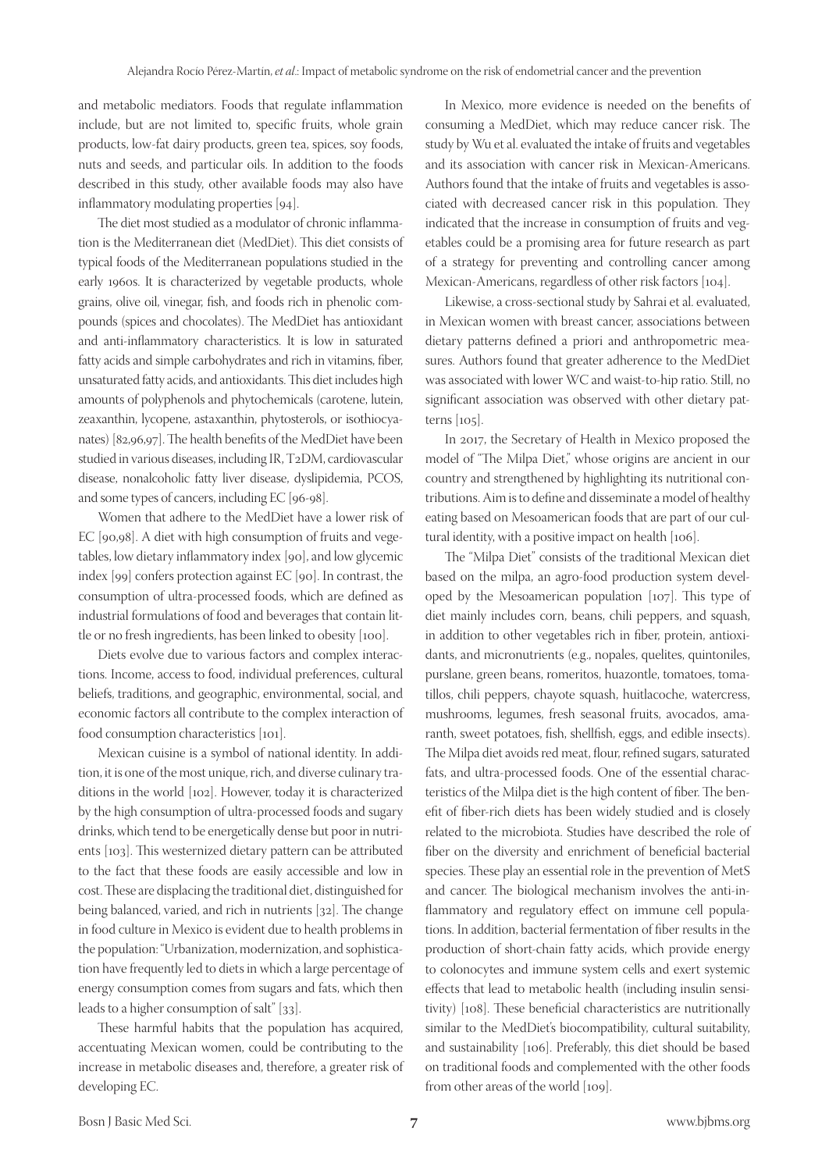and metabolic mediators. Foods that regulate inflammation include, but are not limited to, specific fruits, whole grain products, low-fat dairy products, green tea, spices, soy foods, nuts and seeds, and particular oils. In addition to the foods described in this study, other available foods may also have inflammatory modulating properties [94].

The diet most studied as a modulator of chronic inflammation is the Mediterranean diet (MedDiet). This diet consists of typical foods of the Mediterranean populations studied in the early 1960s. It is characterized by vegetable products, whole grains, olive oil, vinegar, fish, and foods rich in phenolic compounds (spices and chocolates). The MedDiet has antioxidant and anti-inflammatory characteristics. It is low in saturated fatty acids and simple carbohydrates and rich in vitamins, fiber, unsaturated fatty acids, and antioxidants. This diet includes high amounts of polyphenols and phytochemicals (carotene, lutein, zeaxanthin, lycopene, astaxanthin, phytosterols, or isothiocyanates) [82,96,97]. The health benefits of the MedDiet have been studied in various diseases, including IR, T2DM, cardiovascular disease, nonalcoholic fatty liver disease, dyslipidemia, PCOS, and some types of cancers, including EC [96-98].

Women that adhere to the MedDiet have a lower risk of EC [90,98]. A diet with high consumption of fruits and vegetables, low dietary inflammatory index [90], and low glycemic index [99] confers protection against EC [90]. In contrast, the consumption of ultra-processed foods, which are defined as industrial formulations of food and beverages that contain little or no fresh ingredients, has been linked to obesity [100].

Diets evolve due to various factors and complex interactions. Income, access to food, individual preferences, cultural beliefs, traditions, and geographic, environmental, social, and economic factors all contribute to the complex interaction of food consumption characteristics [101].

Mexican cuisine is a symbol of national identity. In addition, it is one of the most unique, rich, and diverse culinary traditions in the world [102]. However, today it is characterized by the high consumption of ultra-processed foods and sugary drinks, which tend to be energetically dense but poor in nutrients [103]. This westernized dietary pattern can be attributed to the fact that these foods are easily accessible and low in cost. These are displacing the traditional diet, distinguished for being balanced, varied, and rich in nutrients [32]. The change in food culture in Mexico is evident due to health problems in the population: "Urbanization, modernization, and sophistication have frequently led to diets in which a large percentage of energy consumption comes from sugars and fats, which then leads to a higher consumption of salt" [33].

These harmful habits that the population has acquired, accentuating Mexican women, could be contributing to the increase in metabolic diseases and, therefore, a greater risk of developing EC.

In Mexico, more evidence is needed on the benefits of consuming a MedDiet, which may reduce cancer risk. The study by Wu et al. evaluated the intake of fruits and vegetables and its association with cancer risk in Mexican-Americans. Authors found that the intake of fruits and vegetables is associated with decreased cancer risk in this population. They indicated that the increase in consumption of fruits and vegetables could be a promising area for future research as part of a strategy for preventing and controlling cancer among Mexican-Americans, regardless of other risk factors [104].

Likewise, a cross-sectional study by Sahrai et al. evaluated, in Mexican women with breast cancer, associations between dietary patterns defined a priori and anthropometric measures. Authors found that greater adherence to the MedDiet was associated with lower WC and waist-to-hip ratio. Still, no significant association was observed with other dietary patterns [105].

In 2017, the Secretary of Health in Mexico proposed the model of "The Milpa Diet," whose origins are ancient in our country and strengthened by highlighting its nutritional contributions. Aim is to define and disseminate a model of healthy eating based on Mesoamerican foods that are part of our cultural identity, with a positive impact on health [106].

The "Milpa Diet" consists of the traditional Mexican diet based on the milpa, an agro-food production system developed by the Mesoamerican population [107]. This type of diet mainly includes corn, beans, chili peppers, and squash, in addition to other vegetables rich in fiber, protein, antioxidants, and micronutrients (e.g., nopales, quelites, quintoniles, purslane, green beans, romeritos, huazontle, tomatoes, tomatillos, chili peppers, chayote squash, huitlacoche, watercress, mushrooms, legumes, fresh seasonal fruits, avocados, amaranth, sweet potatoes, fish, shellfish, eggs, and edible insects). The Milpa diet avoids red meat, flour, refined sugars, saturated fats, and ultra-processed foods. One of the essential characteristics of the Milpa diet is the high content of fiber. The benefit of fiber-rich diets has been widely studied and is closely related to the microbiota. Studies have described the role of fiber on the diversity and enrichment of beneficial bacterial species. These play an essential role in the prevention of MetS and cancer. The biological mechanism involves the anti-inflammatory and regulatory effect on immune cell populations. In addition, bacterial fermentation of fiber results in the production of short-chain fatty acids, which provide energy to colonocytes and immune system cells and exert systemic effects that lead to metabolic health (including insulin sensitivity) [108]. These beneficial characteristics are nutritionally similar to the MedDiet's biocompatibility, cultural suitability, and sustainability [106]. Preferably, this diet should be based on traditional foods and complemented with the other foods from other areas of the world [109].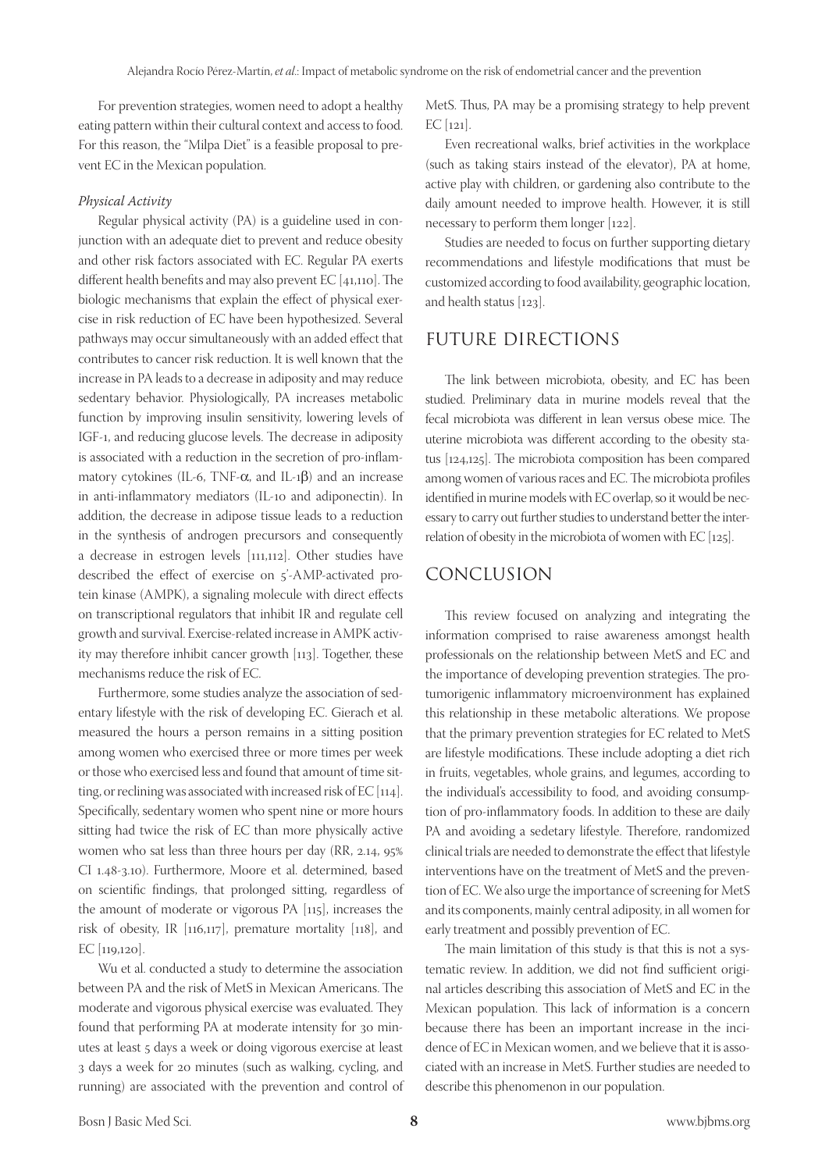For prevention strategies, women need to adopt a healthy eating pattern within their cultural context and access to food. For this reason, the "Milpa Diet" is a feasible proposal to prevent EC in the Mexican population.

#### *Physical Activity*

Regular physical activity (PA) is a guideline used in conjunction with an adequate diet to prevent and reduce obesity and other risk factors associated with EC. Regular PA exerts different health benefits and may also prevent EC [41,110]. The biologic mechanisms that explain the effect of physical exercise in risk reduction of EC have been hypothesized. Several pathways may occur simultaneously with an added effect that contributes to cancer risk reduction. It is well known that the increase in PA leads to a decrease in adiposity and may reduce sedentary behavior. Physiologically, PA increases metabolic function by improving insulin sensitivity, lowering levels of IGF-1, and reducing glucose levels. The decrease in adiposity is associated with a reduction in the secretion of pro-inflammatory cytokines (IL-6, TNF- $\alpha$ , and IL-1 $\beta$ ) and an increase in anti-inflammatory mediators (IL-10 and adiponectin). In addition, the decrease in adipose tissue leads to a reduction in the synthesis of androgen precursors and consequently a decrease in estrogen levels [111,112]. Other studies have described the effect of exercise on 5'-AMP-activated protein kinase (AMPK), a signaling molecule with direct effects on transcriptional regulators that inhibit IR and regulate cell growth and survival. Exercise-related increase in AMPK activity may therefore inhibit cancer growth [113]. Together, these mechanisms reduce the risk of EC.

Furthermore, some studies analyze the association of sedentary lifestyle with the risk of developing EC. Gierach et al. measured the hours a person remains in a sitting position among women who exercised three or more times per week or those who exercised less and found that amount of time sitting, or reclining was associated with increased risk of EC [114]. Specifically, sedentary women who spent nine or more hours sitting had twice the risk of EC than more physically active women who sat less than three hours per day (RR, 2.14, 95% CI 1.48-3.10). Furthermore, Moore et al. determined, based on scientific findings, that prolonged sitting, regardless of the amount of moderate or vigorous PA [115], increases the risk of obesity, IR [116,117], premature mortality [118], and EC [119,120].

Wu et al. conducted a study to determine the association between PA and the risk of MetS in Mexican Americans. The moderate and vigorous physical exercise was evaluated. They found that performing PA at moderate intensity for 30 minutes at least 5 days a week or doing vigorous exercise at least 3 days a week for 20 minutes (such as walking, cycling, and running) are associated with the prevention and control of MetS. Thus, PA may be a promising strategy to help prevent  $EC$  [121].

Even recreational walks, brief activities in the workplace (such as taking stairs instead of the elevator), PA at home, active play with children, or gardening also contribute to the daily amount needed to improve health. However, it is still necessary to perform them longer [122].

Studies are needed to focus on further supporting dietary recommendations and lifestyle modifications that must be customized according to food availability, geographic location, and health status [123].

## FUTURE DIRECTIONS

The link between microbiota, obesity, and EC has been studied. Preliminary data in murine models reveal that the fecal microbiota was different in lean versus obese mice. The uterine microbiota was different according to the obesity status [124,125]. The microbiota composition has been compared among women of various races and EC. The microbiota profiles identified in murine models with EC overlap, so it would be necessary to carry out further studies to understand better the interrelation of obesity in the microbiota of women with EC [125].

## CONCLUSION

This review focused on analyzing and integrating the information comprised to raise awareness amongst health professionals on the relationship between MetS and EC and the importance of developing prevention strategies. The protumorigenic inflammatory microenvironment has explained this relationship in these metabolic alterations. We propose that the primary prevention strategies for EC related to MetS are lifestyle modifications. These include adopting a diet rich in fruits, vegetables, whole grains, and legumes, according to the individual's accessibility to food, and avoiding consumption of pro-inflammatory foods. In addition to these are daily PA and avoiding a sedetary lifestyle. Therefore, randomized clinical trials are needed to demonstrate the effect that lifestyle interventions have on the treatment of MetS and the prevention of EC. We also urge the importance of screening for MetS and its components, mainly central adiposity, in all women for early treatment and possibly prevention of EC.

The main limitation of this study is that this is not a systematic review. In addition, we did not find sufficient original articles describing this association of MetS and EC in the Mexican population. This lack of information is a concern because there has been an important increase in the incidence of EC in Mexican women, and we believe that it is associated with an increase in MetS. Further studies are needed to describe this phenomenon in our population.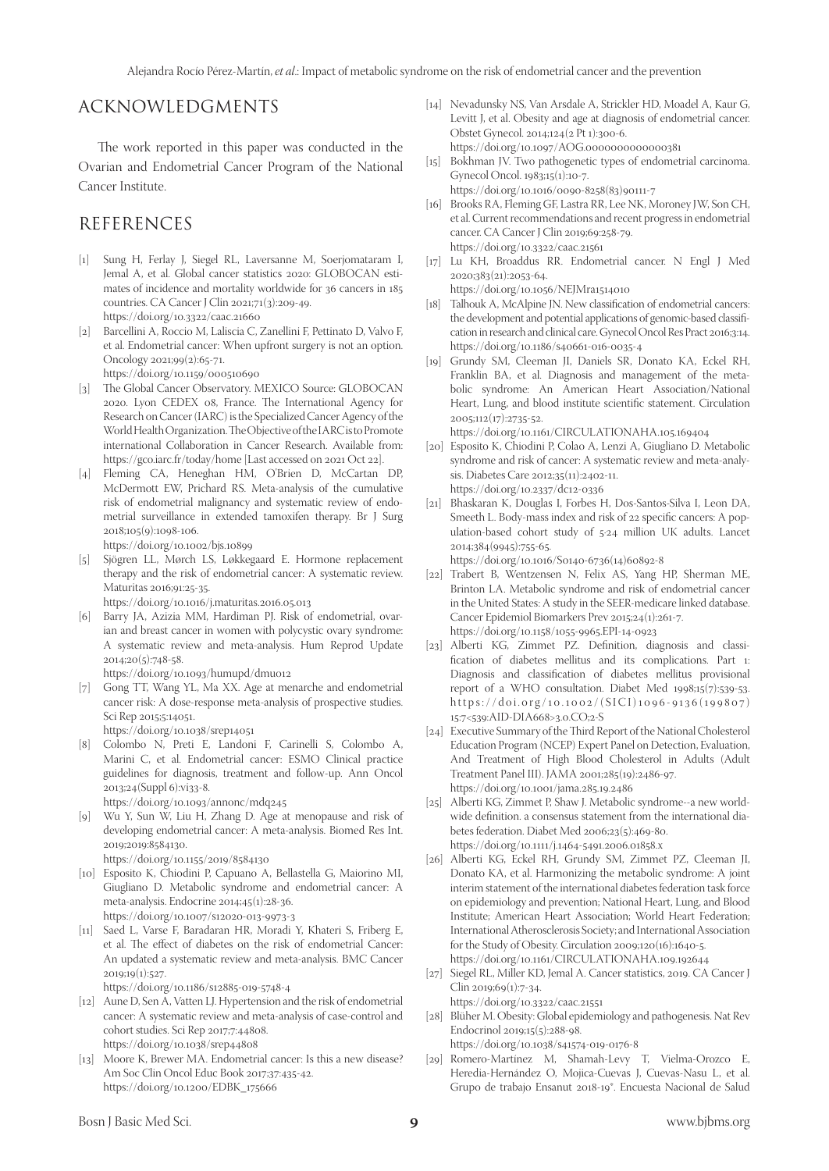# ACKNOWLEDGMENTS

The work reported in this paper was conducted in the Ovarian and Endometrial Cancer Program of the National Cancer Institute.

## REFERENCES

- [1] Sung H, Ferlay J, Siegel RL, Laversanne M, Soerjomataram I, Jemal A, et al. Global cancer statistics 2020: GLOBOCAN estimates of incidence and mortality worldwide for 36 cancers in 185 countries. CA Cancer J Clin 2021;71(3):209-49. https://doi.org/10.3322/caac.21660
- [2] Barcellini A, Roccio M, Laliscia C, Zanellini F, Pettinato D, Valvo F, et al. Endometrial cancer: When upfront surgery is not an option. Oncology 2021;99(2):65-71.

https://doi.org/10.1159/000510690

- [3] The Global Cancer Observatory. MEXICO Source: GLOBOCAN 2020. Lyon CEDEX 08, France. The International Agency for Research on Cancer (IARC) is the Specialized Cancer Agency of the World Health Organization. The Objective of the IARC is to Promote international Collaboration in Cancer Research. Available from: https://gco.iarc.fr/today/home [Last accessed on 2021 Oct 22].
- [4] Fleming CA, Heneghan HM, O'Brien D, McCartan DP, McDermott EW, Prichard RS. Meta-analysis of the cumulative risk of endometrial malignancy and systematic review of endometrial surveillance in extended tamoxifen therapy. Br J Surg 2018;105(9):1098-106.

https://doi.org/10.1002/bjs.10899

[5] Sjögren LL, Mørch LS, Løkkegaard E. Hormone replacement therapy and the risk of endometrial cancer: A systematic review. Maturitas 2016;91:25-35. https://doi.org/10.1016/j.maturitas.2016.05.013

[6] Barry JA, Azizia MM, Hardiman PJ. Risk of endometrial, ovarian and breast cancer in women with polycystic ovary syndrome: A systematic review and meta-analysis. Hum Reprod Update 2014;20(5):748-58.

https://doi.org/10.1093/humupd/dmu012

[7] Gong TT, Wang YL, Ma XX. Age at menarche and endometrial cancer risk: A dose-response meta-analysis of prospective studies. Sci Rep 2015;5:14051.

https://doi.org/10.1038/srep14051

[8] Colombo N, Preti E, Landoni F, Carinelli S, Colombo A, Marini C, et al. Endometrial cancer: ESMO Clinical practice guidelines for diagnosis, treatment and follow-up. Ann Oncol 2013;24(Suppl 6):vi33-8.

https://doi.org/10.1093/annonc/mdq245

[9] Wu Y, Sun W, Liu H, Zhang D. Age at menopause and risk of developing endometrial cancer: A meta-analysis. Biomed Res Int. 2019;2019:8584130.

https://doi.org/10.1155/2019/8584130

- [10] Esposito K, Chiodini P, Capuano A, Bellastella G, Maiorino MI, Giugliano D. Metabolic syndrome and endometrial cancer: A meta-analysis. Endocrine 2014;45(1):28-36. https://doi.org/10.1007/s12020-013-9973-3
- [11] Saed L, Varse F, Baradaran HR, Moradi Y, Khateri S, Friberg E, et al. The effect of diabetes on the risk of endometrial Cancer: An updated a systematic review and meta-analysis. BMC Cancer  $2019;19(1):527.$

https://doi.org/10.1186/s12885-019-5748-4

- [12] Aune D, Sen A, Vatten LJ. Hypertension and the risk of endometrial cancer: A systematic review and meta-analysis of case-control and cohort studies. Sci Rep 2017;7:44808. https://doi.org/10.1038/srep44808
- [13] Moore K, Brewer MA. Endometrial cancer: Is this a new disease? Am Soc Clin Oncol Educ Book 2017;37:435-42. https://doi.org/10.1200/EDBK\_175666
- [14] Nevadunsky NS, Van Arsdale A, Strickler HD, Moadel A, Kaur G, Levitt J, et al. Obesity and age at diagnosis of endometrial cancer. Obstet Gynecol. 2014;124(2 Pt 1):300-6. https://doi.org/10.1097/AOG.0000000000000381
- [15] Bokhman JV. Two pathogenetic types of endometrial carcinoma. Gynecol Oncol. 1983;15(1):10-7.
- https://doi.org/10.1016/0090-8258(83)90111-7
- [16] Brooks RA, Fleming GF, Lastra RR, Lee NK, Moroney JW, Son CH, et al. Current recommendations and recent progress in endometrial cancer. CA Cancer J Clin 2019;69:258-79. https://doi.org/10.3322/caac.21561
- [17] Lu KH, Broaddus RR. Endometrial cancer. N Engl J Med 2020;383(21):2053-64.

https://doi.org/10.1056/NEJMra1514010 [18] Talhouk A, McAlpine JN. New classification of endometrial cancers: the development and potential applications of genomic-based classification in research and clinical care. Gynecol Oncol Res Pract 2016;3:14.

https://doi.org/10.1186/s40661-016-0035-4 [19] Grundy SM, Cleeman JI, Daniels SR, Donato KA, Eckel RH, Franklin BA, et al. Diagnosis and management of the metabolic syndrome: An American Heart Association/National Heart, Lung, and blood institute scientific statement. Circulation 2005;112(17):2735-52.

https://doi.org/10.1161/CIRCULATIONAHA.105.169404

- [20] Esposito K, Chiodini P, Colao A, Lenzi A, Giugliano D. Metabolic syndrome and risk of cancer: A systematic review and meta-analysis. Diabetes Care 2012;35(11):2402-11. https://doi.org/10.2337/dc12-0336
- [21] Bhaskaran K, Douglas I, Forbes H, Dos-Santos-Silva I, Leon DA, Smeeth L. Body-mass index and risk of 22 specific cancers: A population-based cohort study of 5·24 million UK adults. Lancet 2014;384(9945):755-65.

https://doi.org/10.1016/S0140-6736(14)60892-8

- [22] Trabert B, Wentzensen N, Felix AS, Yang HP, Sherman ME, Brinton LA. Metabolic syndrome and risk of endometrial cancer in the United States: A study in the SEER-medicare linked database. Cancer Epidemiol Biomarkers Prev 2015;24(1):261-7. https://doi.org/10.1158/1055-9965.EPI-14-0923
- [23] Alberti KG, Zimmet PZ. Definition, diagnosis and classification of diabetes mellitus and its complications. Part 1: Diagnosis and classification of diabetes mellitus provisional report of a WHO consultation. Diabet Med 1998;15(7):539-53. https://doi.org/10.1002/(SICI)1096-9136(199807) 15:7<539:AID-DIA668>3.0.CO;2-S
- [24] Executive Summary of the Third Report of the National Cholesterol Education Program (NCEP) Expert Panel on Detection, Evaluation, And Treatment of High Blood Cholesterol in Adults (Adult Treatment Panel III). JAMA 2001;285(19):2486-97. https://doi.org/10.1001/jama.285.19.2486
- [25] Alberti KG, Zimmet P, Shaw J. Metabolic syndrome--a new worldwide definition. a consensus statement from the international diabetes federation. Diabet Med 2006;23(5):469-80. https://doi.org/10.1111/j.1464-5491.2006.01858.x
- [26] Alberti KG, Eckel RH, Grundy SM, Zimmet PZ, Cleeman JI, Donato KA, et al. Harmonizing the metabolic syndrome: A joint interim statement of the international diabetes federation task force on epidemiology and prevention; National Heart, Lung, and Blood Institute; American Heart Association; World Heart Federation; International Atherosclerosis Society; and International Association for the Study of Obesity. Circulation 2009;120(16):1640-5. https://doi.org/10.1161/CIRCULATIONAHA.109.192644
- [27] Siegel RL, Miller KD, Jemal A. Cancer statistics, 2019. CA Cancer J Clin 2019;69(1):7-34. https://doi.org/10.3322/caac.21551
- [28] Blüher M. Obesity: Global epidemiology and pathogenesis. Nat Rev Endocrinol 2019;15(5):288-98. https://doi.org/10.1038/s41574-019-0176-8
- [29] Romero-Martínez M, Shamah-Levy T, Vielma-Orozco E, Heredia-Hernández O, Mojica-Cuevas J, Cuevas-Nasu L, et al. Grupo de trabajo Ensanut 2018-19\*. Encuesta Nacional de Salud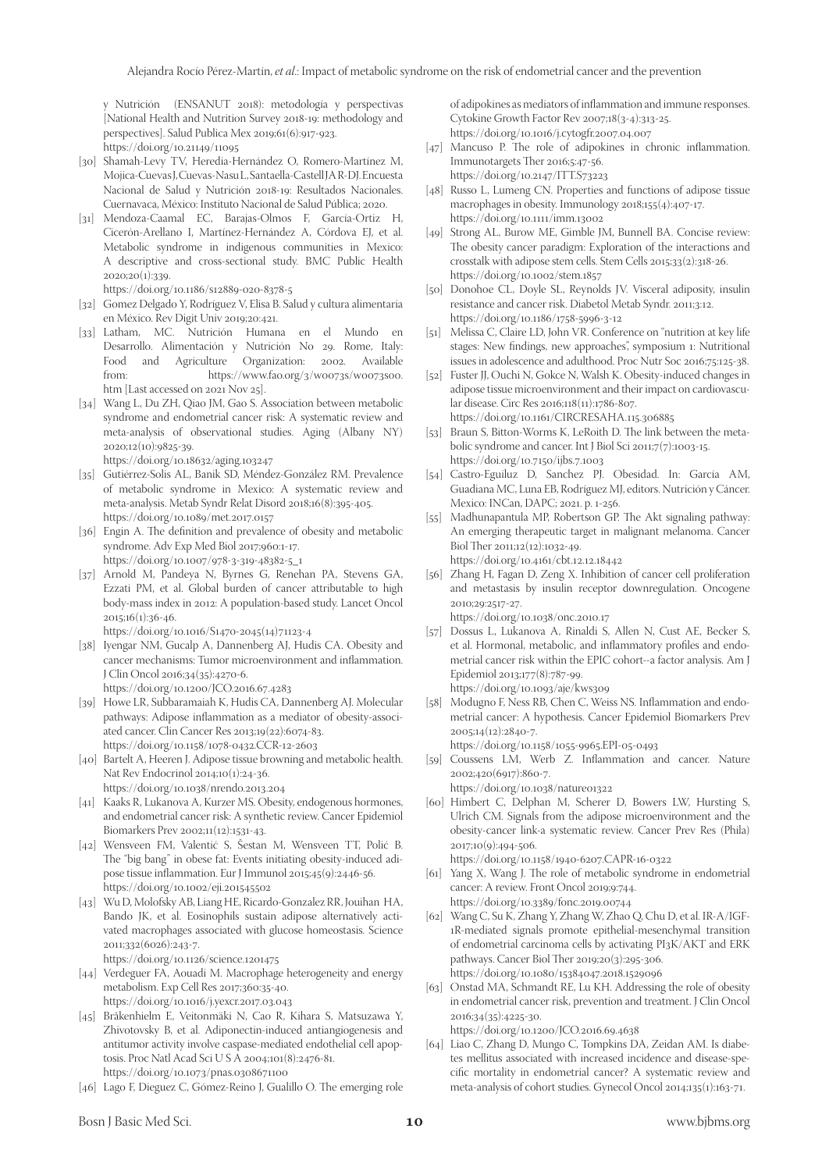y Nutrición (ENSANUT 2018): metodología y perspectivas [National Health and Nutrition Survey 2018-19: methodology and perspectives]. Salud Publica Mex 2019;61(6):917-923. https://doi.org/10.21149/11095

- [30] Shamah-Levy TV, Heredia-Hernández O, Romero-Martínez M, Mojica-Cuevas J, Cuevas-Nasu L, Santaella-Castell JA R-DJ. Encuesta Nacional de Salud y Nutrición 2018-19: Resultados Nacionales. Cuernavaca, México: Instituto Nacional de Salud Pública; 2020.
- [31] Mendoza-Caamal EC, Barajas-Olmos F, García-Ortiz H, Cicerón-Arellano I, Martínez-Hernández A, Córdova EJ, et al. Metabolic syndrome in indigenous communities in Mexico: A descriptive and cross-sectional study. BMC Public Health 2020;20(1):339. https://doi.org/10.1186/s12889-020-8378-5
- [32] Gomez Delgado Y, Rodríguez V, Elisa B. Salud y cultura alimentaria
- en México. Rev Digit Univ 2019;20:421. [33] Latham, MC. Nutrición Humana en el Mundo en
- Desarrollo. Alimentación y Nutrición No 29. Rome, Italy: Food and Agriculture Organization: 2002. Available https://www.fao.org/3/w0073s/w0073s00. htm [Last accessed on 2021 Nov 25].
- [34] Wang L, Du ZH, Qiao JM, Gao S. Association between metabolic syndrome and endometrial cancer risk: A systematic review and meta-analysis of observational studies. Aging (Albany NY) 2020;12(10):9825-39. https://doi.org/10.18632/aging.103247
- [35] Gutiérrez-Solis AL, Banik SD, Méndez-González RM. Prevalence of metabolic syndrome in Mexico: A systematic review and meta-analysis. Metab Syndr Relat Disord 2018;16(8):395-405. https://doi.org/10.1089/met.2017.0157
- [36] Engin A. The definition and prevalence of obesity and metabolic syndrome. Adv Exp Med Biol 2017;960:1-17. https://doi.org/10.1007/978-3-319-48382-5\_1
- [37] Arnold M, Pandeya N, Byrnes G, Renehan PA, Stevens GA, Ezzati PM, et al. Global burden of cancer attributable to high body-mass index in 2012: A population-based study. Lancet Oncol 2015;16(1):36-46. https://doi.org/10.1016/S1470-2045(14)71123-4
- [38] Iyengar NM, Gucalp A, Dannenberg AJ, Hudis CA. Obesity and cancer mechanisms: Tumor microenvironment and inflammation. J Clin Oncol 2016;34(35):4270-6. https://doi.org/10.1200/JCO.2016.67.4283
- [39] Howe LR, Subbaramaiah K, Hudis CA, Dannenberg AJ. Molecular pathways: Adipose inflammation as a mediator of obesity-associated cancer. Clin Cancer Res 2013;19(22):6074-83. https://doi.org/10.1158/1078-0432.CCR-12-2603
- [40] Bartelt A, Heeren J. Adipose tissue browning and metabolic health. Nat Rev Endocrinol 2014;10(1):24-36. https://doi.org/10.1038/nrendo.2013.204
- [41] Kaaks R, Lukanova A, Kurzer MS. Obesity, endogenous hormones, and endometrial cancer risk: A synthetic review. Cancer Epidemiol Biomarkers Prev 2002;11(12):1531-43.
- [42] Wensveen FM, Valentić S, Šestan M, Wensveen TT, Polić B. The "big bang" in obese fat: Events initiating obesity-induced adipose tissue inflammation. Eur J Immunol 2015;45(9):2446-56. https://doi.org/10.1002/eji.201545502
- [43] Wu D, Molofsky AB, Liang HE, Ricardo-Gonzalez RR, Jouihan HA, Bando JK, et al. Eosinophils sustain adipose alternatively activated macrophages associated with glucose homeostasis. Science 2011;332(6026):243-7.
	- https://doi.org/10.1126/science.1201475
- [44] Verdeguer FA, Aouadi M. Macrophage heterogeneity and energy metabolism. Exp Cell Res 2017;360:35-40. https://doi.org/10.1016/j.yexcr.2017.03.043
- [45] Bråkenhielm E, Veitonmäki N, Cao R, Kihara S, Matsuzawa Y, Zhivotovsky B, et al. Adiponectin-induced antiangiogenesis and antitumor activity involve caspase-mediated endothelial cell apoptosis. Proc Natl Acad Sci U S A 2004;101(8):2476-81. https://doi.org/10.1073/pnas.0308671100
- [46] Lago F, Dieguez C, Gómez-Reino J, Gualillo O. The emerging role

of adipokines as mediators of inflammation and immune responses. Cytokine Growth Factor Rev 2007;18(3-4):313-25. https://doi.org/10.1016/j.cytogfr.2007.04.007

- [47] Mancuso P. The role of adipokines in chronic inflammation. Immunotargets Ther 2016;5:47-56. https://doi.org/10.2147/ITT.S73223
- [48] Russo L, Lumeng CN. Properties and functions of adipose tissue macrophages in obesity. Immunology 2018;155(4):407-17. https://doi.org/10.1111/imm.13002
- [49] Strong AL, Burow ME, Gimble JM, Bunnell BA. Concise review: The obesity cancer paradigm: Exploration of the interactions and crosstalk with adipose stem cells. Stem Cells 2015;33(2):318-26. https://doi.org/10.1002/stem.1857
- [50] Donohoe CL, Doyle SL, Reynolds JV. Visceral adiposity, insulin resistance and cancer risk. Diabetol Metab Syndr. 2011;3:12. https://doi.org/10.1186/1758-5996-3-12
- [51] Melissa C, Claire LD, John VR. Conference on "nutrition at key life stages: New findings, new approaches", symposium 1: Nutritional issues in adolescence and adulthood. Proc Nutr Soc 2016;75:125-38.
- [52] Fuster JJ, Ouchi N, Gokce N, Walsh K. Obesity-induced changes in adipose tissue microenvironment and their impact on cardiovascular disease. Circ Res 2016;118(11):1786-807. https://doi.org/10.1161/CIRCRESAHA.115.306885
- [53] Braun S, Bitton-Worms K, LeRoith D. The link between the metabolic syndrome and cancer. Int J Biol Sci 2011;7(7):1003-15. https://doi.org/10.7150/ijbs.7.1003
- [54] Castro-Eguiluz D, Sanchez PJ. Obesidad. In: García AM, Guadiana MC, Luna EB, Rodríguez MJ, editors. Nutrición y Cáncer. Mexico: INCan, DAPC; 2021. p. 1-256.
- [55] Madhunapantula MP, Robertson GP. The Akt signaling pathway: An emerging therapeutic target in malignant melanoma. Cancer Biol Ther 2011;12(12):1032-49. https://doi.org/10.4161/cbt.12.12.18442
- [56] Zhang H, Fagan D, Zeng X. Inhibition of cancer cell proliferation and metastasis by insulin receptor downregulation. Oncogene 2010;29:2517-27.
	- https://doi.org/10.1038/onc.2010.17
- [57] Dossus L, Lukanova A, Rinaldi S, Allen N, Cust AE, Becker S, et al. Hormonal, metabolic, and inflammatory profiles and endometrial cancer risk within the EPIC cohort--a factor analysis. Am J Epidemiol 2013;177(8):787-99. https://doi.org/10.1093/aje/kws309
- [58] Modugno F, Ness RB, Chen C, Weiss NS. Inflammation and endometrial cancer: A hypothesis. Cancer Epidemiol Biomarkers Prev 2005;14(12):2840-7.

https://doi.org/10.1158/1055-9965.EPI-05-0493

- [59] Coussens LM, Werb Z. Inflammation and cancer. Nature 2002;420(6917):860-7. https://doi.org/10.1038/nature01322
- [60] Himbert C, Delphan M, Scherer D, Bowers LW, Hursting S, Ulrich CM. Signals from the adipose microenvironment and the obesity-cancer link-a systematic review. Cancer Prev Res (Phila) 2017;10(9):494-506.

https://doi.org/10.1158/1940-6207.CAPR-16-0322

- [61] Yang X, Wang J. The role of metabolic syndrome in endometrial cancer: A review. Front Oncol 2019;9:744. https://doi.org/10.3389/fonc.2019.00744
- [62] Wang C, Su K, Zhang Y, Zhang W, Zhao Q, Chu D, et al. IR-A/IGF-1R-mediated signals promote epithelial-mesenchymal transition of endometrial carcinoma cells by activating PI3K/AKT and ERK pathways. Cancer Biol Ther 2019;20(3):295-306. https://doi.org/10.1080/15384047.2018.1529096
- [63] Onstad MA, Schmandt RE, Lu KH. Addressing the role of obesity in endometrial cancer risk, prevention and treatment. J Clin Oncol 2016;34(35):4225-30. https://doi.org/10.1200/JCO.2016.69.4638

[64] Liao C, Zhang D, Mungo C, Tompkins DA, Zeidan AM. Is diabe-

tes mellitus associated with increased incidence and disease-specific mortality in endometrial cancer? A systematic review and meta-analysis of cohort studies. Gynecol Oncol 2014;135(1):163-71.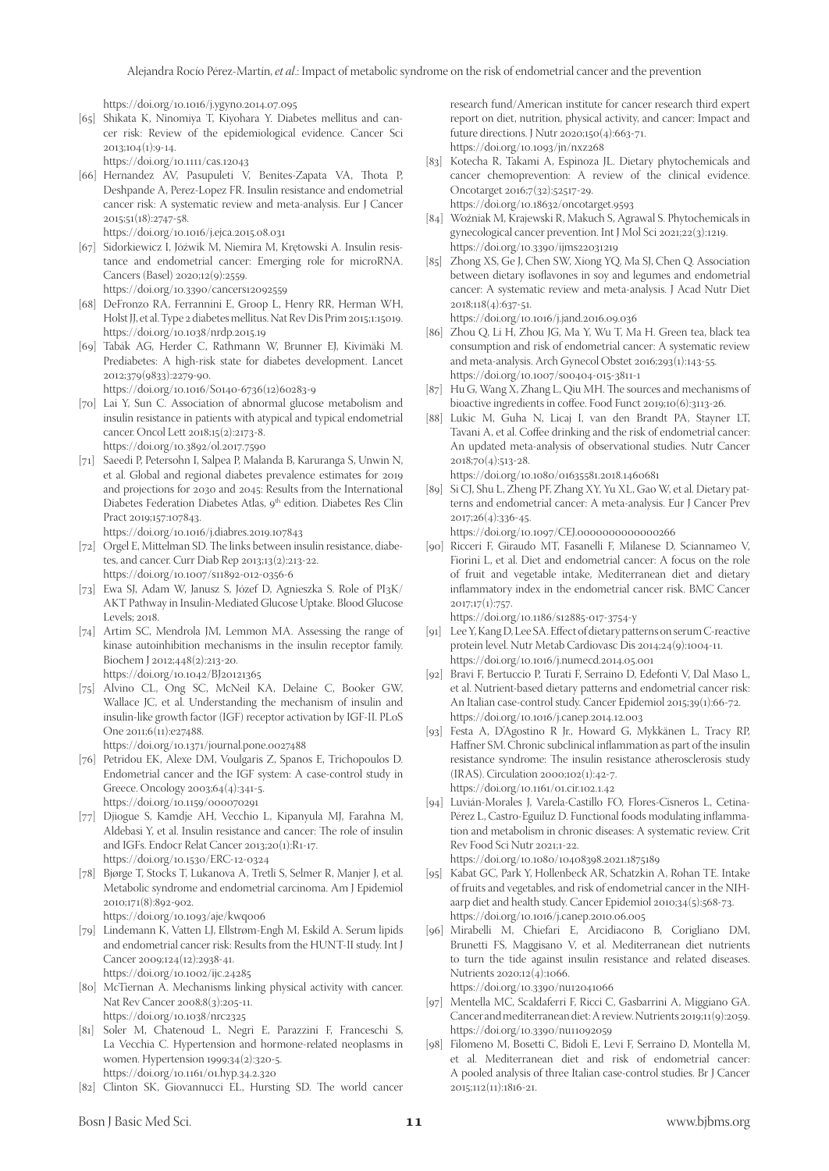https://doi.org/10.1016/j.ygyno.2014.07.095

[65] Shikata K, Ninomiya T, Kiyohara Y. Diabetes mellitus and cancer risk: Review of the epidemiological evidence. Cancer Sci  $2013;104(1):9-14.$ 

https://doi.org/10.1111/cas.12043

- [66] Hernandez AV, Pasupuleti V, Benites-Zapata VA, Thota P, Deshpande A, Perez-Lopez FR. Insulin resistance and endometrial cancer risk: A systematic review and meta-analysis. Eur J Cancer 2015;51(18):2747-58.
	- https://doi.org/10.1016/j.ejca.2015.08.031
- [67] Sidorkiewicz I, Jóźwik M, Niemira M, Krętowski A. Insulin resistance and endometrial cancer: Emerging role for microRNA. Cancers (Basel) 2020;12(9):2559. https://doi.org/10.3390/cancers12092559
- [68] DeFronzo RA, Ferrannini E, Groop L, Henry RR, Herman WH, Holst JJ, et al. Type 2 diabetes mellitus. Nat Rev Dis Prim 2015;1:15019. https://doi.org/10.1038/nrdp.2015.19
- [69] Tabák AG, Herder C, Rathmann W, Brunner EJ, Kivimäki M. Prediabetes: A high-risk state for diabetes development. Lancet 2012;379(9833):2279-90.

https://doi.org/10.1016/S0140-6736(12)60283-9

- [70] Lai Y, Sun C. Association of abnormal glucose metabolism and insulin resistance in patients with atypical and typical endometrial cancer. Oncol Lett 2018;15(2):2173-8. https://doi.org/10.3892/ol.2017.7590
- [71] Saeedi P, Petersohn I, Salpea P, Malanda B, Karuranga S, Unwin N, et al. Global and regional diabetes prevalence estimates for 2019 and projections for 2030 and 2045: Results from the International Diabetes Federation Diabetes Atlas, 9<sup>th</sup> edition. Diabetes Res Clin Pract 2019;157:107843.

https://doi.org/10.1016/j.diabres.2019.107843

- [72] Orgel E, Mittelman SD. The links between insulin resistance, diabetes, and cancer. Curr Diab Rep 2013;13(2):213-22. https://doi.org/10.1007/s11892-012-0356-6
- [73] Ewa SJ, Adam W, Janusz S, Józef D, Agnieszka S. Role of PI3K/ AKT Pathway in Insulin-Mediated Glucose Uptake. Blood Glucose Levels; 2018.
- [74] Artim SC, Mendrola JM, Lemmon MA. Assessing the range of kinase autoinhibition mechanisms in the insulin receptor family. Biochem J 2012;448(2):213-20. https://doi.org/10.1042/BJ20121365
- [75] Alvino CL, Ong SC, McNeil KA, Delaine C, Booker GW, Wallace JC, et al. Understanding the mechanism of insulin and insulin-like growth factor (IGF) receptor activation by IGF-II. PLoS One 2011;6(11):e27488. https://doi.org/10.1371/journal.pone.0027488
- [76] Petridou EK, Alexe DM, Voulgaris Z, Spanos E, Trichopoulos D. Endometrial cancer and the IGF system: A case-control study in Greece. Oncology 2003;64(4):341-5. https://doi.org/10.1159/000070291
- [77] Djiogue S, Kamdje AH, Vecchio L, Kipanyula MJ, Farahna M, Aldebasi Y, et al. Insulin resistance and cancer: The role of insulin and IGFs. Endocr Relat Cancer 2013;20(1):R1-17. https://doi.org/10.1530/ERC-12-0324
- [78] Bjørge T, Stocks T, Lukanova A, Tretli S, Selmer R, Manjer J, et al. Metabolic syndrome and endometrial carcinoma. Am J Epidemiol 2010;171(8):892-902. https://doi.org/10.1093/aje/kwq006
- [79] Lindemann K, Vatten LJ, Ellstrøm-Engh M, Eskild A. Serum lipids and endometrial cancer risk: Results from the HUNT-II study. Int J Cancer 2009;124(12):2938-41. https://doi.org/10.1002/ijc.24285

[80] McTiernan A. Mechanisms linking physical activity with cancer. Nat Rev Cancer 2008;8(3):205-11. https://doi.org/10.1038/nrc2325

- [81] Soler M, Chatenoud L, Negri E, Parazzini F, Franceschi S, La Vecchia C. Hypertension and hormone-related neoplasms in women. Hypertension 1999;34(2):320-5. https://doi.org/10.1161/01.hyp.34.2.320
- [82] Clinton SK, Giovannucci EL, Hursting SD. The world cancer

research fund/American institute for cancer research third expert report on diet, nutrition, physical activity, and cancer: Impact and future directions. J Nutr 2020;150(4):663-71. https://doi.org/10.1093/jn/nxz268

- [83] Kotecha R, Takami A, Espinoza JL. Dietary phytochemicals and cancer chemoprevention: A review of the clinical evidence. Oncotarget 2016;7(32):52517-29. https://doi.org/10.18632/oncotarget.9593
- [84] Woźniak M, Krajewski R, Makuch S, Agrawal S. Phytochemicals in gynecological cancer prevention. Int J Mol Sci 2021;22(3):1219. https://doi.org/10.3390/ijms22031219
- [85] Zhong XS, Ge J, Chen SW, Xiong YQ, Ma SJ, Chen Q. Association between dietary isoflavones in soy and legumes and endometrial cancer: A systematic review and meta-analysis. J Acad Nutr Diet 2018;118(4):637-51.

https://doi.org/10.1016/j.jand.2016.09.036

- [86] Zhou Q, Li H, Zhou JG, Ma Y, Wu T, Ma H. Green tea, black tea consumption and risk of endometrial cancer: A systematic review and meta-analysis. Arch Gynecol Obstet 2016;293(1):143-55. https://doi.org/10.1007/s00404-015-3811-1
- [87] Hu G, Wang X, Zhang L, Qiu MH. The sources and mechanisms of bioactive ingredients in coffee. Food Funct 2019;10(6):3113-26.
- [88] Lukic M, Guha N, Licaj I, van den Brandt PA, Stayner LT, Tavani A, et al. Coffee drinking and the risk of endometrial cancer: An updated meta-analysis of observational studies. Nutr Cancer 2018;70(4):513-28.

https://doi.org/10.1080/01635581.2018.1460681

[89] Si CJ, Shu L, Zheng PF, Zhang XY, Yu XL, Gao W, et al. Dietary patterns and endometrial cancer: A meta-analysis. Eur J Cancer Prev 2017;26(4):336-45.

https://doi.org/10.1097/CEJ.0000000000000266

[90] Ricceri F, Giraudo MT, Fasanelli F, Milanese D, Sciannameo V, Fiorini L, et al. Diet and endometrial cancer: A focus on the role of fruit and vegetable intake, Mediterranean diet and dietary inflammatory index in the endometrial cancer risk. BMC Cancer  $2017;17(1):757.$ 

https://doi.org/10.1186/s12885-017-3754-y

- [91] Lee Y, Kang D, Lee SA. Effect of dietary patterns on serum C-reactive protein level. Nutr Metab Cardiovasc Dis 2014;24(9):1004-11. https://doi.org/10.1016/j.numecd.2014.05.001
- [92] Bravi F, Bertuccio P, Turati F, Serraino D, Edefonti V, Dal Maso L, et al. Nutrient-based dietary patterns and endometrial cancer risk: An Italian case-control study. Cancer Epidemiol 2015;39(1):66-72. https://doi.org/10.1016/j.canep.2014.12.003
- [93] Festa A, D'Agostino R Jr., Howard G, Mykkänen L, Tracy RP, Haffner SM. Chronic subclinical inflammation as part of the insulin resistance syndrome: The insulin resistance atherosclerosis study (IRAS). Circulation 2000;102(1):42-7. https://doi.org/10.1161/01.cir.102.1.42
- [94] Luvián-Morales J, Varela-Castillo FO, Flores-Cisneros L, Cetina-Pérez L, Castro-Eguiluz D. Functional foods modulating inflammation and metabolism in chronic diseases: A systematic review. Crit Rev Food Sci Nutr 2021;1-22.

https://doi.org/10.1080/10408398.2021.1875189

- [95] Kabat GC, Park Y, Hollenbeck AR, Schatzkin A, Rohan TE. Intake of fruits and vegetables, and risk of endometrial cancer in the NIHaarp diet and health study. Cancer Epidemiol 2010;34(5):568-73. https://doi.org/10.1016/j.canep.2010.06.005
- [96] Mirabelli M, Chiefari E, Arcidiacono B, Corigliano DM, Brunetti FS, Maggisano V, et al. Mediterranean diet nutrients to turn the tide against insulin resistance and related diseases. Nutrients 2020;12(4):1066.

https://doi.org/10.3390/nu12041066

- [97] Mentella MC, Scaldaferri F, Ricci C, Gasbarrini A, Miggiano GA. Cancer and mediterranean diet: A review. Nutrients 2019;11(9):2059. https://doi.org/10.3390/nu11092059
- [98] Filomeno M, Bosetti C, Bidoli E, Levi F, Serraino D, Montella M, et al. Mediterranean diet and risk of endometrial cancer: A pooled analysis of three Italian case-control studies. Br J Cancer 2015;112(11):1816-21.